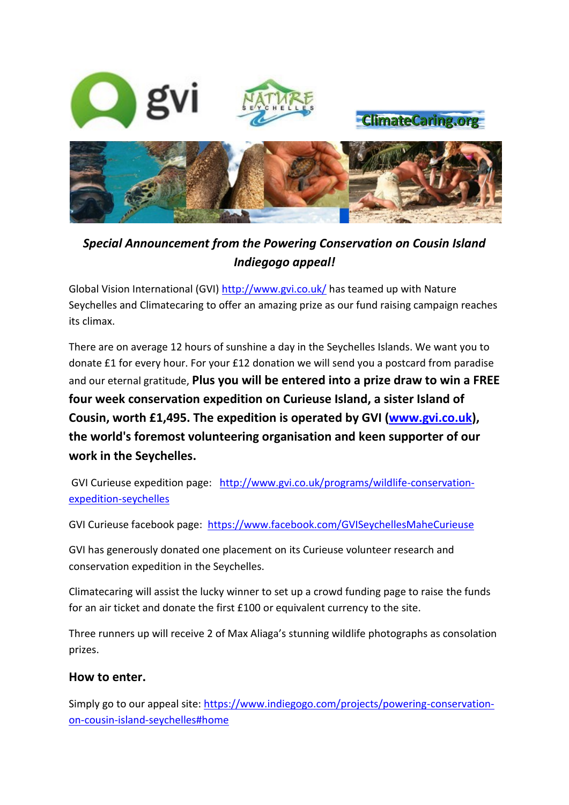

**ClimateCaring.org** 



## *Special Announcement from the Powering Conservation on Cousin Island Indiegogo appeal!*

Global Vision International (GVI)<http://www.gvi.co.uk/> has teamed up with Nature Seychelles and Climatecaring to offer an amazing prize as our fund raising campaign reaches its climax.

There are on average 12 hours of sunshine a day in the Seychelles Islands. We want you to donate £1 for every hour. For your £12 donation we will send you a postcard from paradise and our eternal gratitude, **Plus you will be entered into a prize draw to win a FREE four week conservation expedition on Curieuse Island, a sister Island of Cousin, worth £1,495. The expedition is operated by GVI [\(www.gvi.co.uk\)](http://www.gvi.co.uk/), the world's foremost volunteering organisation and keen supporter of our work in the Seychelles.**

GVI Curieuse expedition page: [http://www.gvi.co.uk/programs/wildlife-conservation](http://www.gvi.co.uk/programs/wildlife-conservation-expedition-seychelles)[expedition-seychelles](http://www.gvi.co.uk/programs/wildlife-conservation-expedition-seychelles)

GVI Curieuse facebook page: <https://www.facebook.com/GVISeychellesMaheCurieuse>

GVI has generously donated one placement on its Curieuse volunteer research and conservation expedition in the Seychelles.

Climatecaring will assist the lucky winner to set up a crowd funding page to raise the funds for an air ticket and donate the first £100 or equivalent currency to the site.

Three runners up will receive 2 of Max Aliaga's stunning wildlife photographs as consolation prizes.

## **How to enter.**

Simply go to our appeal site: [https://www.indiegogo.com/projects/powering-conservation](https://www.indiegogo.com/projects/powering-conservation-on-cousin-island-seychelles#home)[on-cousin-island-seychelles#home](https://www.indiegogo.com/projects/powering-conservation-on-cousin-island-seychelles#home)